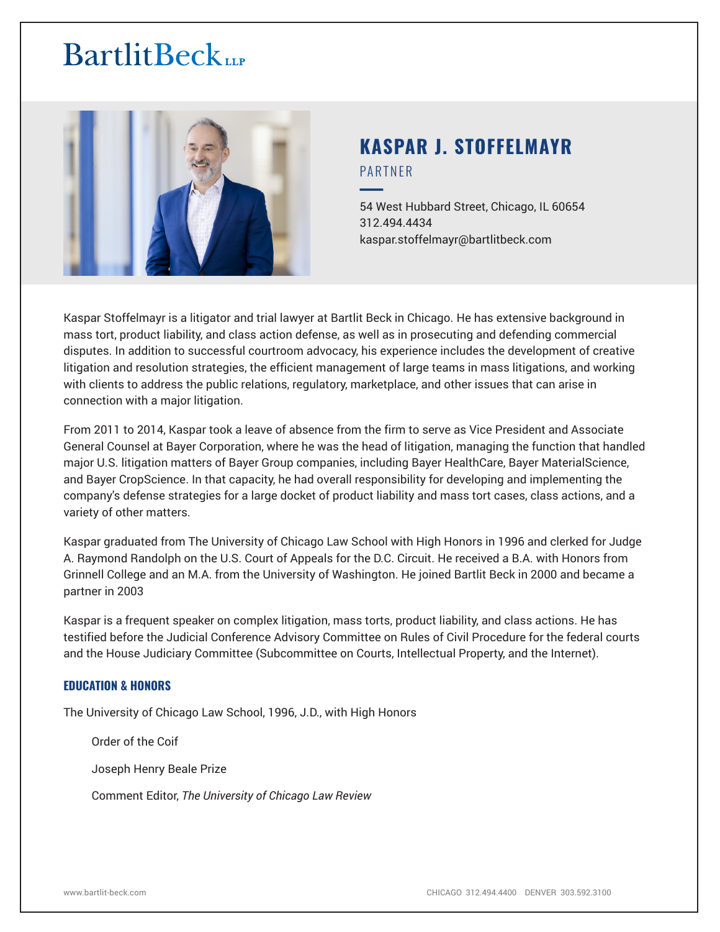# **BartlitBeck**



# **KASPAR J. STOFFELMAYR** PARTNER

54 West Hubbard Street, Chicago, IL 60654 312.494.4434 kaspar.stoffelmayr@bartlitbeck.com

Kaspar Stoffelmayr is a litigator and trial lawyer at Bartlit Beck in Chicago. He has extensive background in mass tort, product liability, and class action defense, as well as in prosecuting and defending commercial disputes. In addition to successful courtroom advocacy, his experience includes the development of creative litigation and resolution strategies, the efficient management of large teams in mass litigations, and working with clients to address the public relations, regulatory, marketplace, and other issues that can arise in connection with a major litigation.

From 2011 to 2014, Kaspar took a leave of absence from the firm to serve as Vice President and Associate General Counsel at Bayer Corporation, where he was the head of litigation, managing the function that handled major U.S. litigation matters of Bayer Group companies, including Bayer HealthCare, Bayer MaterialScience, and Bayer CropScience. In that capacity, he had overall responsibility for developing and implementing the company's defense strategies for a large docket of product liability and mass tort cases, class actions, and a variety of other matters.

Kaspar graduated from The University of Chicago Law School with High Honors in 1996 and clerked for Judge A. Raymond Randolph on the U.S. Court of Appeals for the D.C. Circuit. He received a B.A. with Honors from Grinnell College and an M.A. from the University of Washington. He joined Bartlit Beck in 2000 and became a partner in 2003

Kaspar is a frequent speaker on complex litigation, mass torts, product liability, and class actions. He has testified before the Judicial Conference Advisory Committee on Rules of Civil Procedure for the federal courts and the House Judiciary Committee (Subcommittee on Courts, Intellectual Property, and the Internet).

# **EDUCATION & HONORS**

The University of Chicago Law School, 1996, J.D., with High Honors

Order of the Coif

Joseph Henry Beale Prize

Comment Editor, *The University of Chicago Law Review*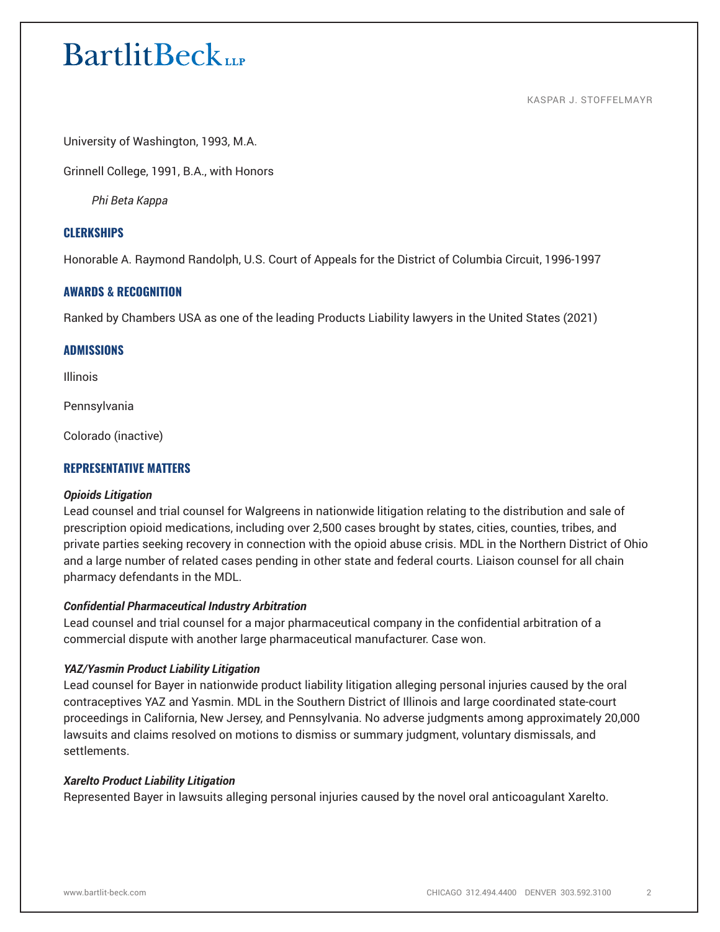# **BartlitBeck**

KASPAR J. STOFFELMAYR

University of Washington, 1993, M.A.

Grinnell College, 1991, B.A., with Honors

*Phi Beta Kappa*

# **CLERKSHIPS**

Honorable A. Raymond Randolph, U.S. Court of Appeals for the District of Columbia Circuit, 1996-1997

# **AWARDS & RECOGNITION**

Ranked by Chambers USA as one of the leading Products Liability lawyers in the United States (2021)

# **ADMISSIONS**

Illinois

Pennsylvania

Colorado (inactive)

# **REPRESENTATIVE MATTERS**

#### *Opioids Litigation*

Lead counsel and trial counsel for Walgreens in nationwide litigation relating to the distribution and sale of prescription opioid medications, including over 2,500 cases brought by states, cities, counties, tribes, and private parties seeking recovery in connection with the opioid abuse crisis. MDL in the Northern District of Ohio and a large number of related cases pending in other state and federal courts. Liaison counsel for all chain pharmacy defendants in the MDL.

# *Confidential Pharmaceutical Industry Arbitration*

Lead counsel and trial counsel for a major pharmaceutical company in the confidential arbitration of a commercial dispute with another large pharmaceutical manufacturer. Case won.

# *YAZ/Yasmin Product Liability Litigation*

Lead counsel for Bayer in nationwide product liability litigation alleging personal injuries caused by the oral contraceptives YAZ and Yasmin. MDL in the Southern District of Illinois and large coordinated state-court proceedings in California, New Jersey, and Pennsylvania. No adverse judgments among approximately 20,000 lawsuits and claims resolved on motions to dismiss or summary judgment, voluntary dismissals, and settlements.

#### *Xarelto Product Liability Litigation*

Represented Bayer in lawsuits alleging personal injuries caused by the novel oral anticoagulant Xarelto.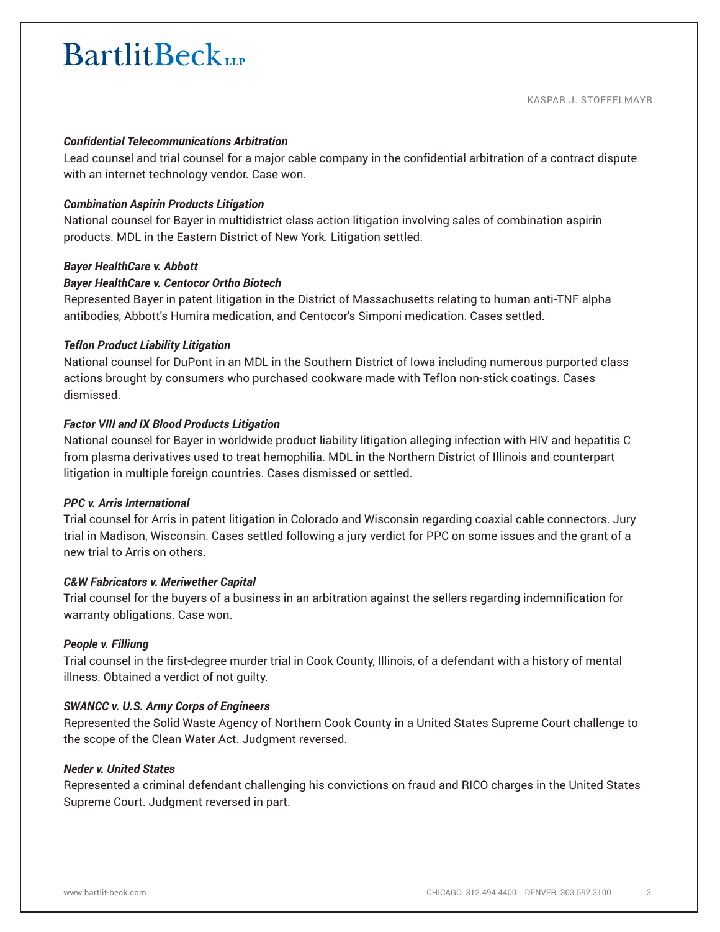# **BartlitBeck**

### *Confidential Telecommunications Arbitration*

Lead counsel and trial counsel for a major cable company in the confidential arbitration of a contract dispute with an internet technology vendor. Case won.

#### *Combination Aspirin Products Litigation*

National counsel for Bayer in multidistrict class action litigation involving sales of combination aspirin products. MDL in the Eastern District of New York. Litigation settled.

#### *Bayer HealthCare v. Abbott*

#### *Bayer HealthCare v. Centocor Ortho Biotech*

Represented Bayer in patent litigation in the District of Massachusetts relating to human anti-TNF alpha antibodies, Abbott's Humira medication, and Centocor's Simponi medication. Cases settled.

#### *Teflon Product Liability Litigation*

National counsel for DuPont in an MDL in the Southern District of Iowa including numerous purported class actions brought by consumers who purchased cookware made with Teflon non-stick coatings. Cases dismissed.

#### *Factor VIII and IX Blood Products Litigation*

National counsel for Bayer in worldwide product liability litigation alleging infection with HIV and hepatitis C from plasma derivatives used to treat hemophilia. MDL in the Northern District of Illinois and counterpart litigation in multiple foreign countries. Cases dismissed or settled.

#### *PPC v. Arris International*

Trial counsel for Arris in patent litigation in Colorado and Wisconsin regarding coaxial cable connectors. Jury trial in Madison, Wisconsin. Cases settled following a jury verdict for PPC on some issues and the grant of a new trial to Arris on others.

#### *C&W Fabricators v. Meriwether Capital*

Trial counsel for the buyers of a business in an arbitration against the sellers regarding indemnification for warranty obligations. Case won.

#### *People v. Filliung*

Trial counsel in the first-degree murder trial in Cook County, Illinois, of a defendant with a history of mental illness. Obtained a verdict of not guilty.

#### *SWANCC v. U.S. Army Corps of Engineers*

Represented the Solid Waste Agency of Northern Cook County in a United States Supreme Court challenge to the scope of the Clean Water Act. Judgment reversed.

#### *Neder v. United States*

Represented a criminal defendant challenging his convictions on fraud and RICO charges in the United States Supreme Court. Judgment reversed in part.